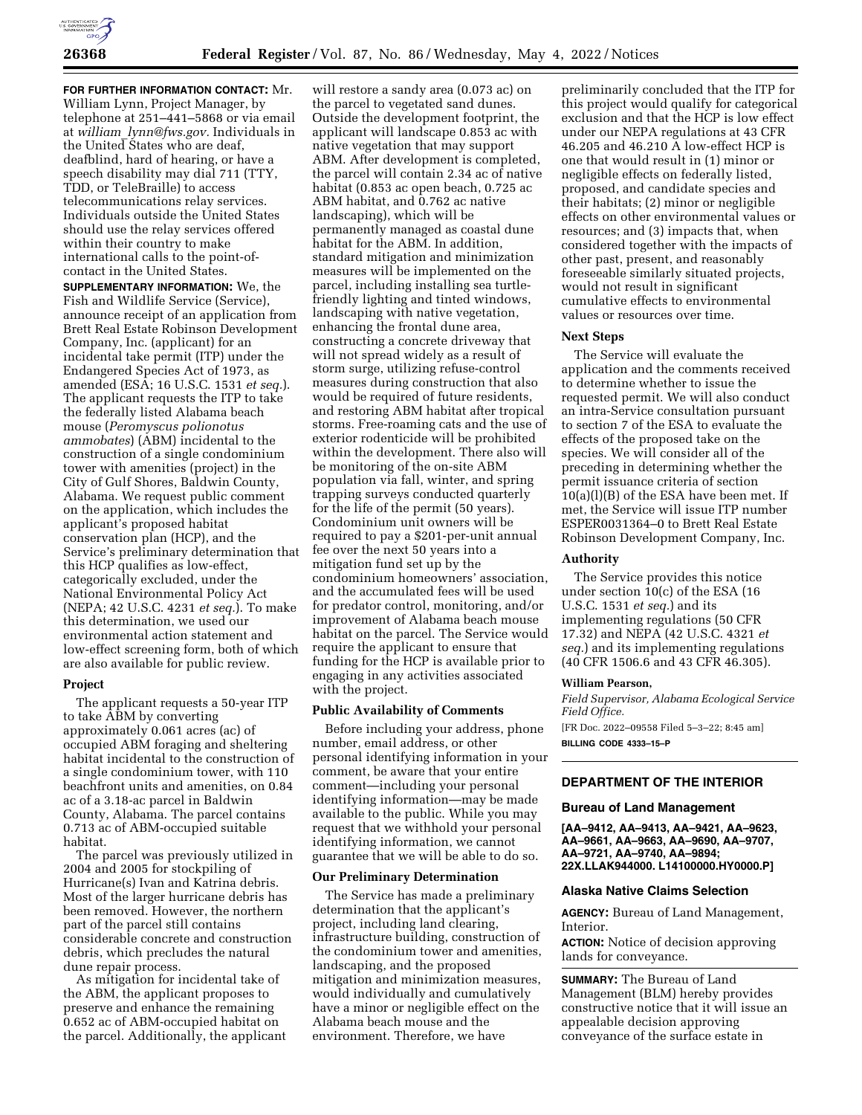

**FOR FURTHER INFORMATION CONTACT:** Mr. William Lynn, Project Manager, by telephone at 251–441–5868 or via email at *william*\_*[lynn@fws.gov.](mailto:william_lynn@fws.gov)* Individuals in the United States who are deaf, deafblind, hard of hearing, or have a speech disability may dial 711 (TTY, TDD, or TeleBraille) to access telecommunications relay services. Individuals outside the United States should use the relay services offered within their country to make international calls to the point-ofcontact in the United States.

**SUPPLEMENTARY INFORMATION:** We, the Fish and Wildlife Service (Service), announce receipt of an application from Brett Real Estate Robinson Development Company, Inc. (applicant) for an incidental take permit (ITP) under the Endangered Species Act of 1973, as amended (ESA; 16 U.S.C. 1531 *et seq.*). The applicant requests the ITP to take the federally listed Alabama beach mouse (*Peromyscus polionotus ammobates*) (ABM) incidental to the construction of a single condominium tower with amenities (project) in the City of Gulf Shores, Baldwin County, Alabama. We request public comment on the application, which includes the applicant's proposed habitat conservation plan (HCP), and the Service's preliminary determination that this HCP qualifies as low-effect, categorically excluded, under the National Environmental Policy Act (NEPA; 42 U.S.C. 4231 *et seq.*). To make this determination, we used our environmental action statement and low-effect screening form, both of which are also available for public review.

## **Project**

The applicant requests a 50-year ITP to take ABM by converting approximately 0.061 acres (ac) of occupied ABM foraging and sheltering habitat incidental to the construction of a single condominium tower, with 110 beachfront units and amenities, on 0.84 ac of a 3.18-ac parcel in Baldwin County, Alabama. The parcel contains 0.713 ac of ABM-occupied suitable habitat.

The parcel was previously utilized in 2004 and 2005 for stockpiling of Hurricane(s) Ivan and Katrina debris. Most of the larger hurricane debris has been removed. However, the northern part of the parcel still contains considerable concrete and construction debris, which precludes the natural dune repair process.

As mitigation for incidental take of the ABM, the applicant proposes to preserve and enhance the remaining 0.652 ac of ABM-occupied habitat on the parcel. Additionally, the applicant

will restore a sandy area (0.073 ac) on the parcel to vegetated sand dunes. Outside the development footprint, the applicant will landscape 0.853 ac with native vegetation that may support ABM. After development is completed, the parcel will contain 2.34 ac of native habitat (0.853 ac open beach, 0.725 ac ABM habitat, and 0.762 ac native landscaping), which will be permanently managed as coastal dune habitat for the ABM. In addition, standard mitigation and minimization measures will be implemented on the parcel, including installing sea turtlefriendly lighting and tinted windows, landscaping with native vegetation, enhancing the frontal dune area, constructing a concrete driveway that will not spread widely as a result of storm surge, utilizing refuse-control measures during construction that also would be required of future residents, and restoring ABM habitat after tropical storms. Free-roaming cats and the use of exterior rodenticide will be prohibited within the development. There also will be monitoring of the on-site ABM population via fall, winter, and spring trapping surveys conducted quarterly for the life of the permit (50 years). Condominium unit owners will be required to pay a \$201-per-unit annual fee over the next 50 years into a mitigation fund set up by the condominium homeowners' association, and the accumulated fees will be used for predator control, monitoring, and/or improvement of Alabama beach mouse habitat on the parcel. The Service would require the applicant to ensure that funding for the HCP is available prior to engaging in any activities associated with the project.

# **Public Availability of Comments**

Before including your address, phone number, email address, or other personal identifying information in your comment, be aware that your entire comment—including your personal identifying information—may be made available to the public. While you may request that we withhold your personal identifying information, we cannot guarantee that we will be able to do so.

## **Our Preliminary Determination**

The Service has made a preliminary determination that the applicant's project, including land clearing, infrastructure building, construction of the condominium tower and amenities, landscaping, and the proposed mitigation and minimization measures, would individually and cumulatively have a minor or negligible effect on the Alabama beach mouse and the environment. Therefore, we have

preliminarily concluded that the ITP for this project would qualify for categorical exclusion and that the HCP is low effect under our NEPA regulations at 43 CFR 46.205 and 46.210 A low-effect HCP is one that would result in (1) minor or negligible effects on federally listed, proposed, and candidate species and their habitats; (2) minor or negligible effects on other environmental values or resources; and (3) impacts that, when considered together with the impacts of other past, present, and reasonably foreseeable similarly situated projects, would not result in significant cumulative effects to environmental values or resources over time.

### **Next Steps**

The Service will evaluate the application and the comments received to determine whether to issue the requested permit. We will also conduct an intra-Service consultation pursuant to section 7 of the ESA to evaluate the effects of the proposed take on the species. We will consider all of the preceding in determining whether the permit issuance criteria of section 10(a)(l)(B) of the ESA have been met. If met, the Service will issue ITP number ESPER0031364–0 to Brett Real Estate Robinson Development Company, Inc.

### **Authority**

The Service provides this notice under section 10(c) of the ESA (16 U.S.C. 1531 *et seq.*) and its implementing regulations (50 CFR 17.32) and NEPA (42 U.S.C. 4321 *et seq.*) and its implementing regulations (40 CFR 1506.6 and 43 CFR 46.305).

#### **William Pearson,**

*Field Supervisor, Alabama Ecological Service Field Office.* 

[FR Doc. 2022–09558 Filed 5–3–22; 8:45 am] **BILLING CODE 4333–15–P** 

# **DEPARTMENT OF THE INTERIOR**

## **Bureau of Land Management**

**[AA–9412, AA–9413, AA–9421, AA–9623, AA–9661, AA–9663, AA–9690, AA–9707, AA–9721, AA–9740, AA–9894; 22X.LLAK944000. L14100000.HY0000.P]** 

### **Alaska Native Claims Selection**

**AGENCY:** Bureau of Land Management, Interior.

**ACTION:** Notice of decision approving lands for conveyance.

**SUMMARY:** The Bureau of Land Management (BLM) hereby provides constructive notice that it will issue an appealable decision approving conveyance of the surface estate in